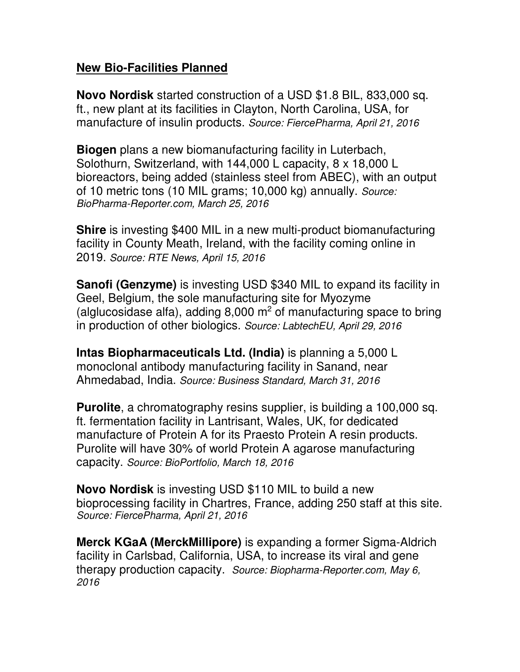## **New Bio-Facilities Planned**

**Novo Nordisk** started construction of a USD \$1.8 BIL, 833,000 sq. ft., new plant at its facilities in Clayton, North Carolina, USA, for manufacture of insulin products. *Source: FiercePharma, April 21, 2016* 

**Biogen** plans a new biomanufacturing facility in Luterbach, Solothurn, Switzerland, with 144,000 L capacity, 8 x 18,000 L bioreactors, being added (stainless steel from ABEC), with an output of 10 metric tons (10 MIL grams; 10,000 kg) annually. *Source: BioPharma-Reporter.com, March 25, 2016*

**Shire** is investing \$400 MIL in a new multi-product biomanufacturing facility in County Meath, Ireland, with the facility coming online in 2019. *Source: RTE News, April 15, 2016*

**Sanofi (Genzyme)** is investing USD \$340 MIL to expand its facility in Geel, Belgium, the sole manufacturing site for Myozyme (alglucosidase alfa), adding  $8,000 \text{ m}^2$  of manufacturing space to bring in production of other biologics. *Source: LabtechEU, April 29, 2016*

**Intas Biopharmaceuticals Ltd. (India)** is planning a 5,000 L monoclonal antibody manufacturing facility in Sanand, near Ahmedabad, India. *Source: Business Standard, March 31, 2016*

**Purolite**, a chromatography resins supplier, is building a 100,000 sq. ft. fermentation facility in Lantrisant, Wales, UK, for dedicated manufacture of Protein A for its Praesto Protein A resin products. Purolite will have 30% of world Protein A agarose manufacturing capacity. *Source: BioPortfolio, March 18, 2016*

**Novo Nordisk** is investing USD \$110 MIL to build a new bioprocessing facility in Chartres, France, adding 250 staff at this site. *Source: FiercePharma, April 21, 2016*

**Merck KGaA (MerckMillipore)** is expanding a former Sigma-Aldrich facility in Carlsbad, California, USA, to increase its viral and gene therapy production capacity. *Source: Biopharma-Reporter.com, May 6, 2016*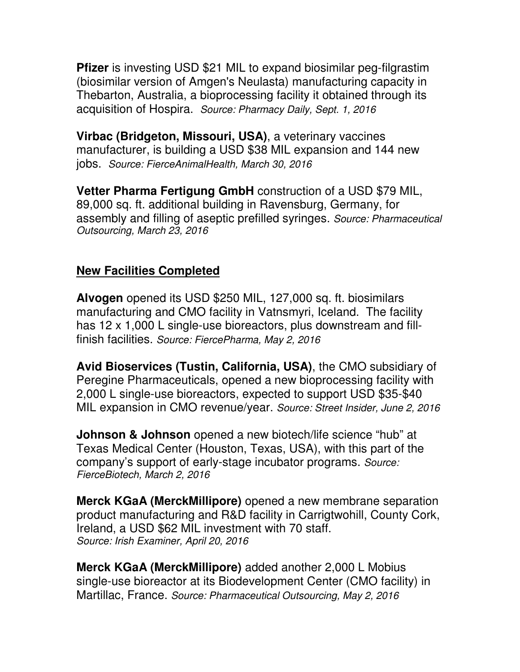**Pfizer** is investing USD \$21 MIL to expand biosimilar peg-filgrastim (biosimilar version of Amgen's Neulasta) manufacturing capacity in Thebarton, Australia, a bioprocessing facility it obtained through its acquisition of Hospira. *Source: Pharmacy Daily, Sept. 1, 2016*

**Virbac (Bridgeton, Missouri, USA)**, a veterinary vaccines manufacturer, is building a USD \$38 MIL expansion and 144 new jobs. *Source: FierceAnimalHealth, March 30, 2016*

**Vetter Pharma Fertigung GmbH** construction of a USD \$79 MIL, 89,000 sq. ft. additional building in Ravensburg, Germany, for assembly and filling of aseptic prefilled syringes. *Source: Pharmaceutical Outsourcing, March 23, 2016*

## **New Facilities Completed**

**Alvogen** opened its USD \$250 MIL, 127,000 sq. ft. biosimilars manufacturing and CMO facility in Vatnsmyri, Iceland. The facility has 12 x 1,000 L single-use bioreactors, plus downstream and fillfinish facilities. *Source: FiercePharma, May 2, 2016*

**Avid Bioservices (Tustin, California, USA)**, the CMO subsidiary of Peregine Pharmaceuticals, opened a new bioprocessing facility with 2,000 L single-use bioreactors, expected to support USD \$35-\$40 MIL expansion in CMO revenue/year. *Source: Street Insider, June 2, 2016*

**Johnson & Johnson** opened a new biotech/life science "hub" at Texas Medical Center (Houston, Texas, USA), with this part of the company's support of early-stage incubator programs. *Source: FierceBiotech, March 2, 2016*

**Merck KGaA (MerckMillipore)** opened a new membrane separation product manufacturing and R&D facility in Carrigtwohill, County Cork, Ireland, a USD \$62 MIL investment with 70 staff. *Source: Irish Examiner, April 20, 2016* 

**Merck KGaA (MerckMillipore)** added another 2,000 L Mobius single-use bioreactor at its Biodevelopment Center (CMO facility) in Martillac, France. *Source: Pharmaceutical Outsourcing, May 2, 2016*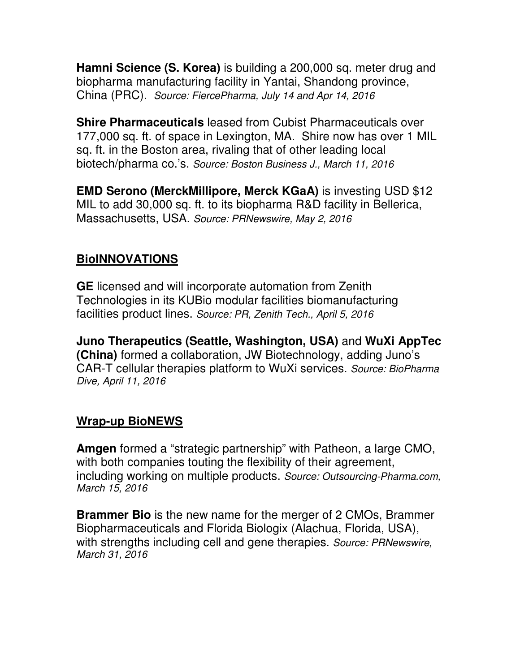**Hamni Science (S. Korea)** is building a 200,000 sq. meter drug and biopharma manufacturing facility in Yantai, Shandong province, China (PRC). *Source: FiercePharma, July 14 and Apr 14, 2016* 

**Shire Pharmaceuticals** leased from Cubist Pharmaceuticals over 177,000 sq. ft. of space in Lexington, MA. Shire now has over 1 MIL sq. ft. in the Boston area, rivaling that of other leading local biotech/pharma co.'s. *Source: Boston Business J., March 11, 2016*

**EMD Serono (MerckMillipore, Merck KGaA)** is investing USD \$12 MIL to add 30,000 sq. ft. to its biopharma R&D facility in Bellerica, Massachusetts, USA. *Source: PRNewswire, May 2, 2016*

## **BioINNOVATIONS**

**GE** licensed and will incorporate automation from Zenith Technologies in its KUBio modular facilities biomanufacturing facilities product lines. *Source: PR, Zenith Tech., April 5, 2016*

**Juno Therapeutics (Seattle, Washington, USA)** and **WuXi AppTec (China)** formed a collaboration, JW Biotechnology, adding Juno's CAR-T cellular therapies platform to WuXi services. *Source: BioPharma Dive, April 11, 2016*

## **Wrap-up BioNEWS**

**Amgen** formed a "strategic partnership" with Patheon, a large CMO, with both companies touting the flexibility of their agreement, including working on multiple products. *Source: Outsourcing-Pharma.com, March 15, 2016*

**Brammer Bio** is the new name for the merger of 2 CMOs, Brammer Biopharmaceuticals and Florida Biologix (Alachua, Florida, USA), with strengths including cell and gene therapies. *Source: PRNewswire, March 31, 2016*